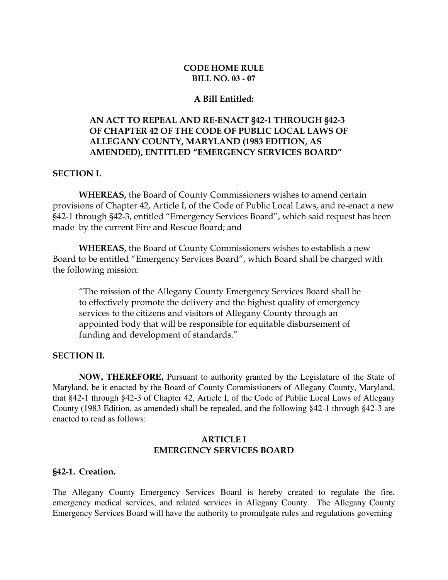### CODE HOME RULE BILL NO. **03 - 07**

### A Bill Entitled:

# AN ACT TO REPEAL AND RE-ENACT §42-1 THROUGH §42-3 OF CHAPTER 42 OF THE CODE OF PUBLIC LOCAL LAWS OF ALLEGANY COUNTY, MARYLAND (1983 EDITION, AS AMENDED), ENTITLED "EMERGENCY SERVICES BOARD"

#### SECTION I.

 WHEREAS, the Board of County Commissioners wishes to amend certain provisions of Chapter 42, Article I, of the Code of Public Local Laws, and re-enact a new §42-1 through §42-3, entitled "Emergency Services Board", which said request has been made by the current Fire and Rescue Board; and

WHEREAS, the Board of County Commissioners wishes to establish a new Board to be entitled "Emergency Services Board", which Board shall be charged with the following mission:

"The mission of the Allegany County Emergency Services Board shall be to effectively promote the delivery and the highest quality of emergency services to the citizens and visitors of Allegany County through an appointed body that will be responsible for equitable disbursement of funding and development of standards."

### SECTION II.

 **NOW, THEREFORE,** Pursuant to authority granted by the Legislature of the State of Maryland, be it enacted by the Board of County Commissioners of Allegany County, Maryland, that §42-1 through §42-3 of Chapter 42, Article I, of the Code of Public Local Laws of Allegany County (1983 Edition, as amended) shall be repealed, and the following §42-1 through §42-3 are enacted to read as follows:

#### ARTICLE I EMERGENCY SERVICES BOARD

#### §42-1. Creation.

The Allegany County Emergency Services Board is hereby created to regulate the fire, emergency medical services, and related services in Allegany County. The Allegany County Emergency Services Board will have the authority to promulgate rules and regulations governing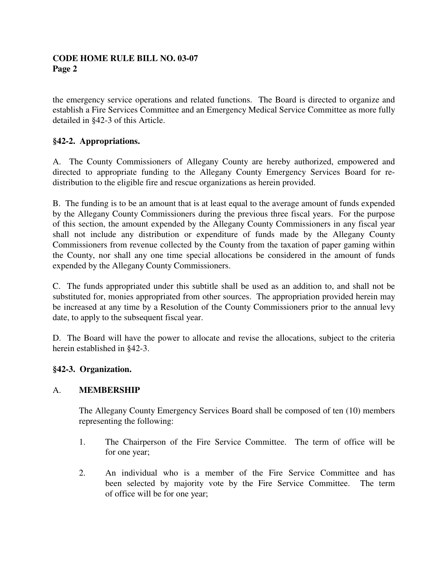the emergency service operations and related functions. The Board is directed to organize and establish a Fire Services Committee and an Emergency Medical Service Committee as more fully detailed in §42-3 of this Article.

# **§42-2. Appropriations.**

A. The County Commissioners of Allegany County are hereby authorized, empowered and directed to appropriate funding to the Allegany County Emergency Services Board for redistribution to the eligible fire and rescue organizations as herein provided.

B. The funding is to be an amount that is at least equal to the average amount of funds expended by the Allegany County Commissioners during the previous three fiscal years. For the purpose of this section, the amount expended by the Allegany County Commissioners in any fiscal year shall not include any distribution or expenditure of funds made by the Allegany County Commissioners from revenue collected by the County from the taxation of paper gaming within the County, nor shall any one time special allocations be considered in the amount of funds expended by the Allegany County Commissioners.

C. The funds appropriated under this subtitle shall be used as an addition to, and shall not be substituted for, monies appropriated from other sources. The appropriation provided herein may be increased at any time by a Resolution of the County Commissioners prior to the annual levy date, to apply to the subsequent fiscal year.

D. The Board will have the power to allocate and revise the allocations, subject to the criteria herein established in §42-3.

## **§42-3. Organization.**

## A. **MEMBERSHIP**

The Allegany County Emergency Services Board shall be composed of ten (10) members representing the following:

- 1. The Chairperson of the Fire Service Committee. The term of office will be for one year;
- 2. An individual who is a member of the Fire Service Committee and has been selected by majority vote by the Fire Service Committee. The term of office will be for one year;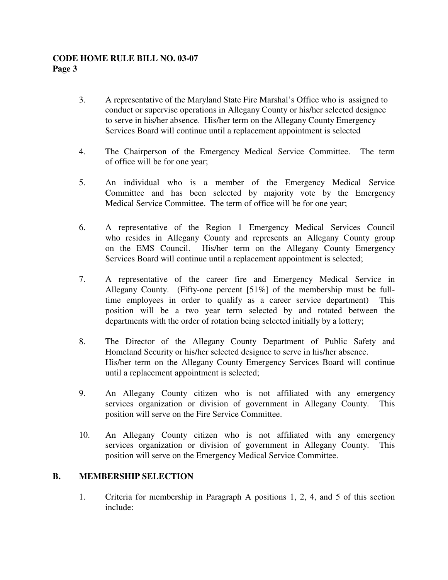- 3. A representative of the Maryland State Fire Marshal's Office who is assigned to conduct or supervise operations in Allegany County or his/her selected designee to serve in his/her absence. His/her term on the Allegany County Emergency Services Board will continue until a replacement appointment is selected
- 4. The Chairperson of the Emergency Medical Service Committee. The term of office will be for one year;
- 5. An individual who is a member of the Emergency Medical Service Committee and has been selected by majority vote by the Emergency Medical Service Committee. The term of office will be for one year;
- 6. A representative of the Region 1 Emergency Medical Services Council who resides in Allegany County and represents an Allegany County group on the EMS Council. His/her term on the Allegany County Emergency Services Board will continue until a replacement appointment is selected;
- 7. A representative of the career fire and Emergency Medical Service in Allegany County. (Fifty-one percent [51%] of the membership must be full time employees in order to qualify as a career service department) This position will be a two year term selected by and rotated between the departments with the order of rotation being selected initially by a lottery;
- 8. The Director of the Allegany County Department of Public Safety and Homeland Security or his/her selected designee to serve in his/her absence. His/her term on the Allegany County Emergency Services Board will continue until a replacement appointment is selected;
- 9. An Allegany County citizen who is not affiliated with any emergency services organization or division of government in Allegany County. This position will serve on the Fire Service Committee.
- 10. An Allegany County citizen who is not affiliated with any emergency services organization or division of government in Allegany County. This position will serve on the Emergency Medical Service Committee.

## **B. MEMBERSHIP SELECTION**

1. Criteria for membership in Paragraph A positions 1, 2, 4, and 5 of this section include: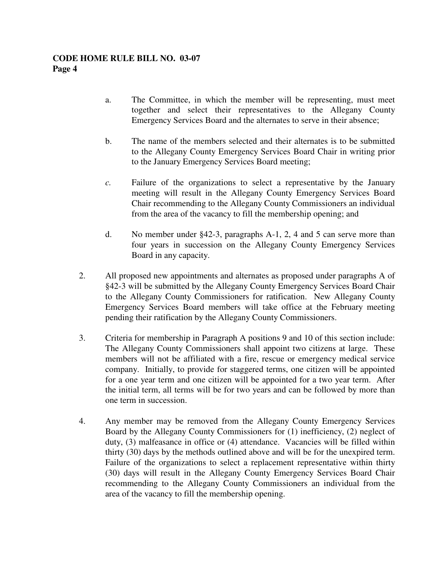- a. The Committee, in which the member will be representing, must meet together and select their representatives to the Allegany County Emergency Services Board and the alternates to serve in their absence;
- b. The name of the members selected and their alternates is to be submitted to the Allegany County Emergency Services Board Chair in writing prior to the January Emergency Services Board meeting;
- *c.* Failure of the organizations to select a representative by the January meeting will result in the Allegany County Emergency Services Board Chair recommending to the Allegany County Commissioners an individual from the area of the vacancy to fill the membership opening; and
- d. No member under §42-3, paragraphs A-1, 2, 4 and 5 can serve more than four years in succession on the Allegany County Emergency Services Board in any capacity.
- 2. All proposed new appointments and alternates as proposed under paragraphs A of §42-3 will be submitted by the Allegany County Emergency Services Board Chair to the Allegany County Commissioners for ratification. New Allegany County Emergency Services Board members will take office at the February meeting pending their ratification by the Allegany County Commissioners.
- 3. Criteria for membership in Paragraph A positions 9 and 10 of this section include: The Allegany County Commissioners shall appoint two citizens at large. These members will not be affiliated with a fire, rescue or emergency medical service company. Initially, to provide for staggered terms, one citizen will be appointed for a one year term and one citizen will be appointed for a two year term. After the initial term, all terms will be for two years and can be followed by more than one term in succession.
- 4. Any member may be removed from the Allegany County Emergency Services Board by the Allegany County Commissioners for (1) inefficiency, (2) neglect of duty, (3) malfeasance in office or (4) attendance. Vacancies will be filled within thirty (30) days by the methods outlined above and will be for the unexpired term. Failure of the organizations to select a replacement representative within thirty (30) days will result in the Allegany County Emergency Services Board Chair recommending to the Allegany County Commissioners an individual from the area of the vacancy to fill the membership opening.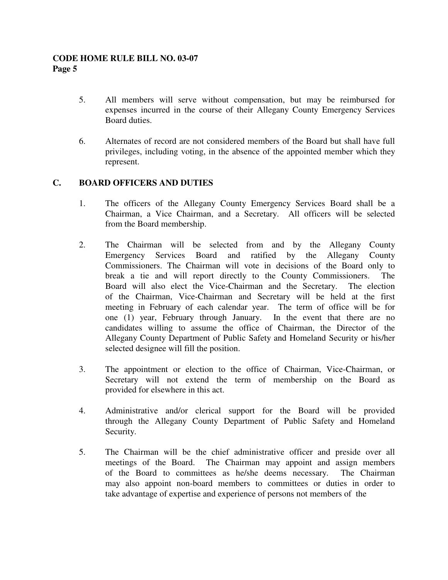- 5. All members will serve without compensation, but may be reimbursed for expenses incurred in the course of their Allegany County Emergency Services Board duties.
- 6. Alternates of record are not considered members of the Board but shall have full privileges, including voting, in the absence of the appointed member which they represent.

# **C. BOARD OFFICERS AND DUTIES**

- 1. The officers of the Allegany County Emergency Services Board shall be a Chairman, a Vice Chairman, and a Secretary. All officers will be selected from the Board membership.
- 2. The Chairman will be selected from and by the Allegany County Emergency Services Board and ratified by the Allegany County Commissioners. The Chairman will vote in decisions of the Board only to break a tie and will report directly to the County Commissioners. The Board will also elect the Vice-Chairman and the Secretary. The election of the Chairman, Vice-Chairman and Secretary will be held at the first meeting in February of each calendar year. The term of office will be for one (1) year, February through January. In the event that there are no candidates willing to assume the office of Chairman, the Director of the Allegany County Department of Public Safety and Homeland Security or his/her selected designee will fill the position.
- 3. The appointment or election to the office of Chairman, Vice-Chairman, or Secretary will not extend the term of membership on the Board as provided for elsewhere in this act.
- 4. Administrative and/or clerical support for the Board will be provided through the Allegany County Department of Public Safety and Homeland Security.
- 5. The Chairman will be the chief administrative officer and preside over all meetings of the Board. The Chairman may appoint and assign members of the Board to committees as he/she deems necessary. The Chairman may also appoint non-board members to committees or duties in order to take advantage of expertise and experience of persons not members of the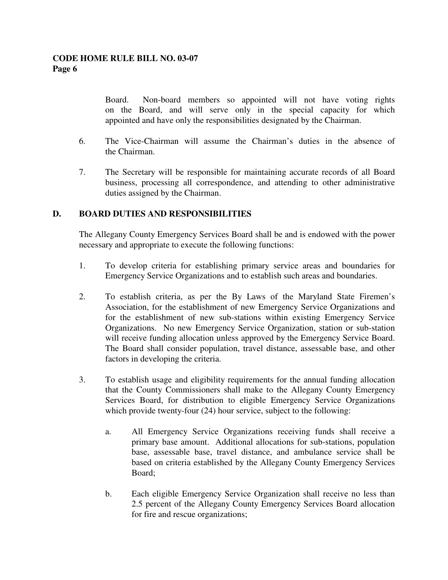Board. Non-board members so appointed will not have voting rights on the Board, and will serve only in the special capacity for which appointed and have only the responsibilities designated by the Chairman.

- 6. The Vice-Chairman will assume the Chairman's duties in the absence of the Chairman.
- 7. The Secretary will be responsible for maintaining accurate records of all Board business, processing all correspondence, and attending to other administrative duties assigned by the Chairman.

## **D. BOARD DUTIES AND RESPONSIBILITIES**

The Allegany County Emergency Services Board shall be and is endowed with the power necessary and appropriate to execute the following functions:

- 1. To develop criteria for establishing primary service areas and boundaries for Emergency Service Organizations and to establish such areas and boundaries.
- 2. To establish criteria, as per the By Laws of the Maryland State Firemen's Association, for the establishment of new Emergency Service Organizations and for the establishment of new sub-stations within existing Emergency Service Organizations. No new Emergency Service Organization, station or sub-station will receive funding allocation unless approved by the Emergency Service Board. The Board shall consider population, travel distance, assessable base, and other factors in developing the criteria.
- 3. To establish usage and eligibility requirements for the annual funding allocation that the County Commissioners shall make to the Allegany County Emergency Services Board, for distribution to eligible Emergency Service Organizations which provide twenty-four (24) hour service, subject to the following:
	- a. All Emergency Service Organizations receiving funds shall receive a primary base amount. Additional allocations for sub-stations, population base, assessable base, travel distance, and ambulance service shall be based on criteria established by the Allegany County Emergency Services Board;
	- b. Each eligible Emergency Service Organization shall receive no less than 2.5 percent of the Allegany County Emergency Services Board allocation for fire and rescue organizations;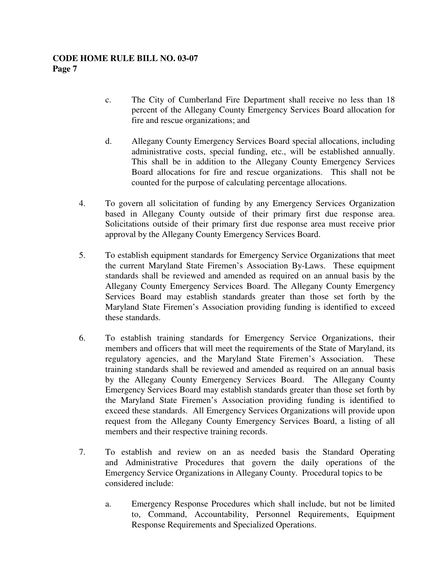- c. The City of Cumberland Fire Department shall receive no less than 18 percent of the Allegany County Emergency Services Board allocation for fire and rescue organizations; and
- d. Allegany County Emergency Services Board special allocations, including administrative costs, special funding, etc., will be established annually. This shall be in addition to the Allegany County Emergency Services Board allocations for fire and rescue organizations. This shall not be counted for the purpose of calculating percentage allocations.
- 4. To govern all solicitation of funding by any Emergency Services Organization based in Allegany County outside of their primary first due response area. Solicitations outside of their primary first due response area must receive prior approval by the Allegany County Emergency Services Board.
- 5. To establish equipment standards for Emergency Service Organizations that meet the current Maryland State Firemen's Association By-Laws. These equipment standards shall be reviewed and amended as required on an annual basis by the Allegany County Emergency Services Board. The Allegany County Emergency Services Board may establish standards greater than those set forth by the Maryland State Firemen's Association providing funding is identified to exceed these standards.
- 6. To establish training standards for Emergency Service Organizations, their members and officers that will meet the requirements of the State of Maryland, its regulatory agencies, and the Maryland State Firemen's Association. These training standards shall be reviewed and amended as required on an annual basis by the Allegany County Emergency Services Board. The Allegany County Emergency Services Board may establish standards greater than those set forth by the Maryland State Firemen's Association providing funding is identified to exceed these standards. All Emergency Services Organizations will provide upon request from the Allegany County Emergency Services Board, a listing of all members and their respective training records.
- 7. To establish and review on an as needed basis the Standard Operating and Administrative Procedures that govern the daily operations of the Emergency Service Organizations in Allegany County. Procedural topics to be considered include:
	- a. Emergency Response Procedures which shall include, but not be limited to, Command, Accountability, Personnel Requirements, Equipment Response Requirements and Specialized Operations.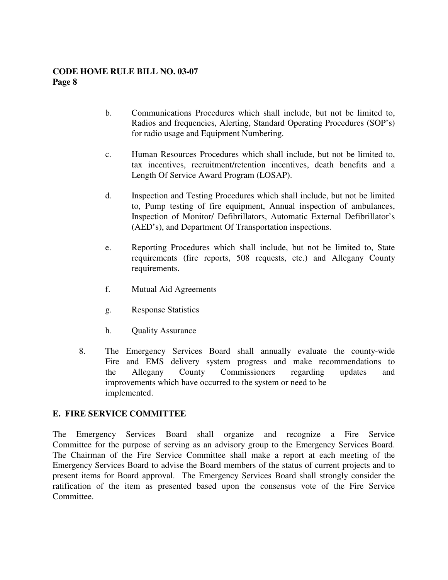- b. Communications Procedures which shall include, but not be limited to, Radios and frequencies, Alerting, Standard Operating Procedures (SOP's) for radio usage and Equipment Numbering.
- c. Human Resources Procedures which shall include, but not be limited to, tax incentives, recruitment/retention incentives, death benefits and a Length Of Service Award Program (LOSAP).
- d. Inspection and Testing Procedures which shall include, but not be limited to, Pump testing of fire equipment, Annual inspection of ambulances, Inspection of Monitor/ Defibrillators, Automatic External Defibrillator's (AED's), and Department Of Transportation inspections.
- e. Reporting Procedures which shall include, but not be limited to, State requirements (fire reports, 508 requests, etc.) and Allegany County requirements.
- f. Mutual Aid Agreements
- g. Response Statistics
- h. Quality Assurance
- 8. The Emergency Services Board shall annually evaluate the county-wide Fire and EMS delivery system progress and make recommendations to the Allegany County Commissioners regarding updates and improvements which have occurred to the system or need to be implemented.

## **E. FIRE SERVICE COMMITTEE**

The Emergency Services Board shall organize and recognize a Fire Service Committee for the purpose of serving as an advisory group to the Emergency Services Board. The Chairman of the Fire Service Committee shall make a report at each meeting of the Emergency Services Board to advise the Board members of the status of current projects and to present items for Board approval. The Emergency Services Board shall strongly consider the ratification of the item as presented based upon the consensus vote of the Fire Service Committee.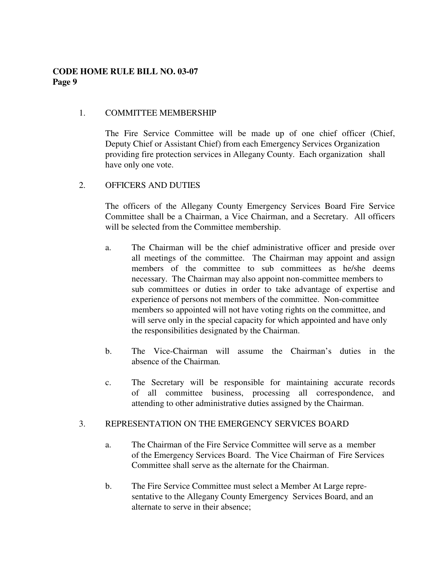### 1. COMMITTEE MEMBERSHIP

 The Fire Service Committee will be made up of one chief officer (Chief, Deputy Chief or Assistant Chief) from each Emergency Services Organization providing fire protection services in Allegany County. Each organization shall have only one vote.

### 2. OFFICERS AND DUTIES

 The officers of the Allegany County Emergency Services Board Fire Service Committee shall be a Chairman, a Vice Chairman, and a Secretary. All officers will be selected from the Committee membership.

- a. The Chairman will be the chief administrative officer and preside over all meetings of the committee. The Chairman may appoint and assign members of the committee to sub committees as he/she deems necessary. The Chairman may also appoint non-committee members to sub committees or duties in order to take advantage of expertise and experience of persons not members of the committee. Non-committee members so appointed will not have voting rights on the committee, and will serve only in the special capacity for which appointed and have only the responsibilities designated by the Chairman.
- b. The Vice-Chairman will assume the Chairman's duties in the absence of the Chairman*.*
- c. The Secretary will be responsible for maintaining accurate records of all committee business, processing all correspondence, and attending to other administrative duties assigned by the Chairman.

#### 3. REPRESENTATION ON THE EMERGENCY SERVICES BOARD

- a. The Chairman of the Fire Service Committee will serve as a member of the Emergency Services Board. The Vice Chairman of Fire Services Committee shall serve as the alternate for the Chairman.
- b. The Fire Service Committee must select a Member At Large repre sentative to the Allegany County Emergency Services Board, and an alternate to serve in their absence;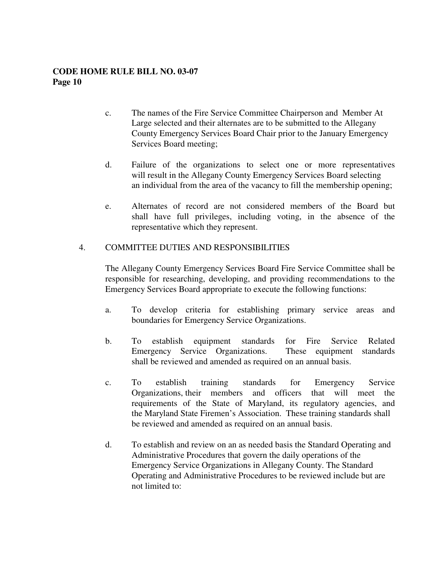- c. The names of the Fire Service Committee Chairperson and Member At Large selected and their alternates are to be submitted to the Allegany County Emergency Services Board Chair prior to the January Emergency Services Board meeting;
- d. Failure of the organizations to select one or more representatives will result in the Allegany County Emergency Services Board selecting an individual from the area of the vacancy to fill the membership opening;
- e. Alternates of record are not considered members of the Board but shall have full privileges, including voting, in the absence of the representative which they represent.

### 4. COMMITTEE DUTIES AND RESPONSIBILITIES

 The Allegany County Emergency Services Board Fire Service Committee shall be responsible for researching, developing, and providing recommendations to the Emergency Services Board appropriate to execute the following functions:

- a. To develop criteria for establishing primary service areas and boundaries for Emergency Service Organizations.
- b. To establish equipment standards for Fire Service Related Emergency Service Organizations. These equipment standards shall be reviewed and amended as required on an annual basis.
- c. To establish training standards for Emergency Service Organizations, their members and officers that will meet the requirements of the State of Maryland, its regulatory agencies, and the Maryland State Firemen's Association. These training standards shall be reviewed and amended as required on an annual basis.
	- d. To establish and review on an as needed basis the Standard Operating and Administrative Procedures that govern the daily operations of the Emergency Service Organizations in Allegany County. The Standard Operating and Administrative Procedures to be reviewed include but are not limited to: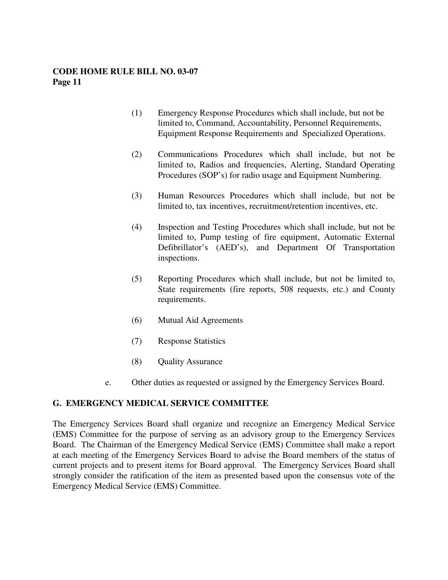- (1) Emergency Response Procedures which shall include, but not be limited to, Command, Accountability, Personnel Requirements, Equipment Response Requirements and Specialized Operations.
- (2) Communications Procedures which shall include, but not be limited to, Radios and frequencies, Alerting, Standard Operating Procedures (SOP's) for radio usage and Equipment Numbering.
- (3) Human Resources Procedures which shall include, but not be limited to, tax incentives, recruitment/retention incentives, etc.
- (4) Inspection and Testing Procedures which shall include, but not be limited to, Pump testing of fire equipment, Automatic External Defibrillator's (AED's), and Department Of Transportation inspections.
- (5) Reporting Procedures which shall include, but not be limited to, State requirements (fire reports, 508 requests, etc.) and County requirements.
- (6) Mutual Aid Agreements
- (7) Response Statistics
- (8) Quality Assurance
- e. Other duties as requested or assigned by the Emergency Services Board.

#### **G. EMERGENCY MEDICAL SERVICE COMMITTEE**

The Emergency Services Board shall organize and recognize an Emergency Medical Service (EMS) Committee for the purpose of serving as an advisory group to the Emergency Services Board. The Chairman of the Emergency Medical Service (EMS) Committee shall make a report at each meeting of the Emergency Services Board to advise the Board members of the status of current projects and to present items for Board approval. The Emergency Services Board shall strongly consider the ratification of the item as presented based upon the consensus vote of the Emergency Medical Service (EMS) Committee.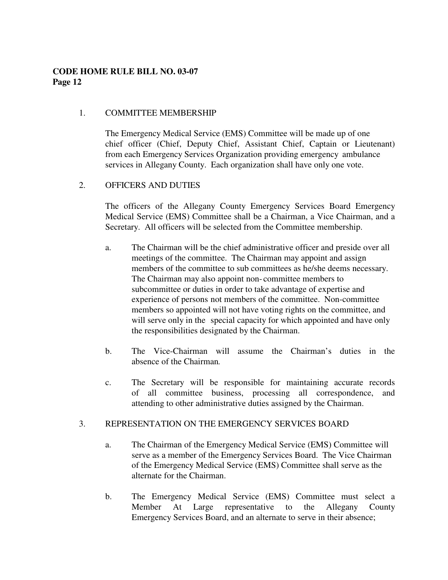### 1. COMMITTEE MEMBERSHIP

 The Emergency Medical Service (EMS) Committee will be made up of one chief officer (Chief, Deputy Chief, Assistant Chief, Captain or Lieutenant) from each Emergency Services Organization providing emergency ambulance services in Allegany County. Each organization shall have only one vote.

### 2. OFFICERS AND DUTIES

 The officers of the Allegany County Emergency Services Board Emergency Medical Service (EMS) Committee shall be a Chairman, a Vice Chairman, and a Secretary. All officers will be selected from the Committee membership.

- a. The Chairman will be the chief administrative officer and preside over all meetings of the committee. The Chairman may appoint and assign members of the committee to sub committees as he/she deems necessary. The Chairman may also appoint non- committee members to subcommittee or duties in order to take advantage of expertise and experience of persons not members of the committee. Non-committee members so appointed will not have voting rights on the committee, and will serve only in the special capacity for which appointed and have only the responsibilities designated by the Chairman.
- b. The Vice-Chairman will assume the Chairman's duties in the absence of the Chairman*.*
- c. The Secretary will be responsible for maintaining accurate records of all committee business, processing all correspondence, and attending to other administrative duties assigned by the Chairman.

## 3. REPRESENTATION ON THE EMERGENCY SERVICES BOARD

- a. The Chairman of the Emergency Medical Service (EMS) Committee will serve as a member of the Emergency Services Board. The Vice Chairman of the Emergency Medical Service (EMS) Committee shall serve as the alternate for the Chairman.
- b. The Emergency Medical Service (EMS) Committee must select a Member At Large representative to the Allegany County Emergency Services Board, and an alternate to serve in their absence;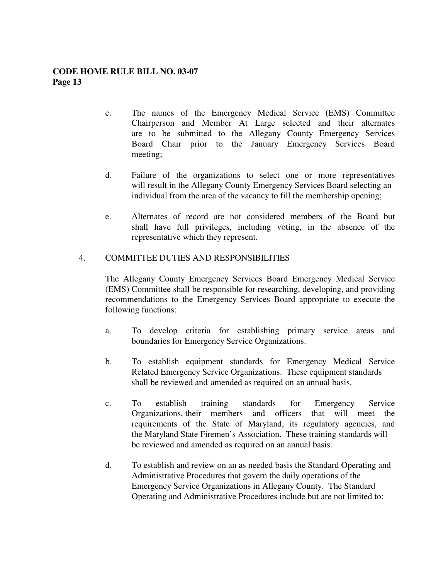- c. The names of the Emergency Medical Service (EMS) Committee Chairperson and Member At Large selected and their alternates are to be submitted to the Allegany County Emergency Services Board Chair prior to the January Emergency Services Board meeting;
- d. Failure of the organizations to select one or more representatives will result in the Allegany County Emergency Services Board selecting an individual from the area of the vacancy to fill the membership opening;
- e. Alternates of record are not considered members of the Board but shall have full privileges, including voting, in the absence of the representative which they represent.

### 4. COMMITTEE DUTIES AND RESPONSIBILITIES

 The Allegany County Emergency Services Board Emergency Medical Service (EMS) Committee shall be responsible for researching, developing, and providing recommendations to the Emergency Services Board appropriate to execute the following functions:

- a. To develop criteria for establishing primary service areas and boundaries for Emergency Service Organizations.
- b. To establish equipment standards for Emergency Medical Service Related Emergency Service Organizations. These equipment standards shall be reviewed and amended as required on an annual basis.
- c. To establish training standards for Emergency Service Organizations, their members and officers that will meet the requirements of the State of Maryland, its regulatory agencies, and the Maryland State Firemen's Association. These training standards will be reviewed and amended as required on an annual basis.
- d. To establish and review on an as needed basis the Standard Operating and Administrative Procedures that govern the daily operations of the Emergency Service Organizations in Allegany County. The Standard Operating and Administrative Procedures include but are not limited to: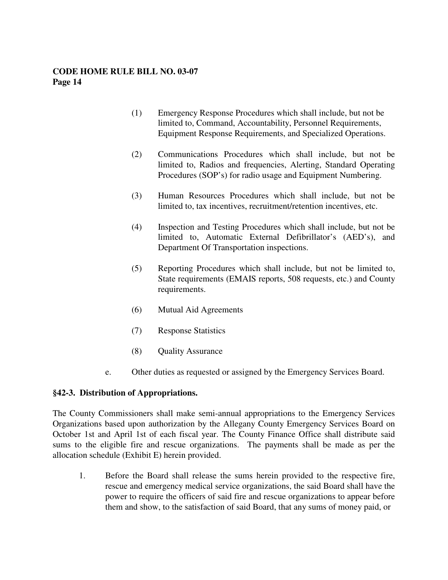- (1) Emergency Response Procedures which shall include, but not be limited to, Command, Accountability, Personnel Requirements, Equipment Response Requirements, and Specialized Operations.
- (2) Communications Procedures which shall include, but not be limited to, Radios and frequencies, Alerting, Standard Operating Procedures (SOP's) for radio usage and Equipment Numbering.
- (3) Human Resources Procedures which shall include, but not be limited to, tax incentives, recruitment/retention incentives, etc.
- (4) Inspection and Testing Procedures which shall include, but not be limited to, Automatic External Defibrillator's (AED's), and Department Of Transportation inspections.
- (5) Reporting Procedures which shall include, but not be limited to, State requirements (EMAIS reports, 508 requests, etc.) and County requirements.
- (6) Mutual Aid Agreements
- (7) Response Statistics
- (8) Quality Assurance
- e. Other duties as requested or assigned by the Emergency Services Board.

#### **§42-3. Distribution of Appropriations.**

The County Commissioners shall make semi-annual appropriations to the Emergency Services Organizations based upon authorization by the Allegany County Emergency Services Board on October 1st and April 1st of each fiscal year. The County Finance Office shall distribute said sums to the eligible fire and rescue organizations. The payments shall be made as per the allocation schedule (Exhibit E) herein provided.

 1. Before the Board shall release the sums herein provided to the respective fire, rescue and emergency medical service organizations, the said Board shall have the power to require the officers of said fire and rescue organizations to appear before them and show, to the satisfaction of said Board, that any sums of money paid, or